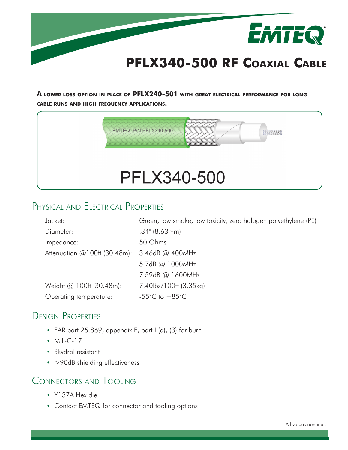

**A lower loss option in place of PFLX240-501 with great electrical performance for long cable runs and high frequency applications.**



# Physical and Electrical Properties

| Jacket:                         | Green, low smoke, low toxicity, zero halogen polyethylene (PE) |
|---------------------------------|----------------------------------------------------------------|
| Diameter:                       | $.34$ " (8.63mm)                                               |
| Impedance:                      | 50 Ohms                                                        |
| Attenuation $@100f$ t (30.48m): | 3.46dB @ 400MHz                                                |
|                                 | 5.7dB @ 1000MHz                                                |
|                                 | 7.59dB @ 1600MHz                                               |
| Weight $@100f$ (30.48m):        | 7.40lbs/100ft (3.35kg)                                         |
| Operating temperature:          | -55 $\degree$ C to +85 $\degree$ C                             |

## Design Properties

- FAR part 25.869, appendix F, part I (a), (3) for burn
- MIL-C-17
- Skydrol resistant
- >90dB shielding effectiveness

## Connectors and Tooling

- Y137A Hex die
- Contact EMTEQ for connector and tooling options